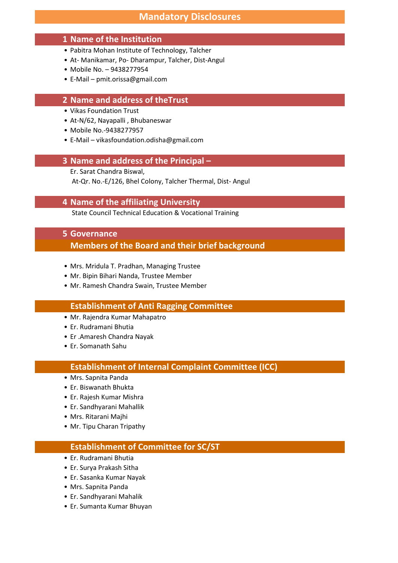# **Mandatory Disclosures**

## **1 Name of the Institution**

- Pabitra Mohan Institute of Technology, Talcher
- At- Manikamar, Po- Dharampur, Talcher, Dist-Angul
- Mobile No. 9438277954
- E-Mail pmit.orissa@gmail.com

## **2 Name and address of theTrust**

- Vikas Foundation Trust
- At-N/62, Nayapalli , Bhubaneswar
- Mobile No.-9438277957
- E-Mail vikasfoundation.odisha@gmail.com

## **3 Name and address of the Principal –**

Er. Sarat Chandra Biswal,

At-Qr. No.-E/126, Bhel Colony, Talcher Thermal, Dist- Angul

### **4 Name of the affiliating University**

State Council Technical Education & Vocational Training

# **5 Governance**

## **Members of the Board and their brief background**

- Mrs. Mridula T. Pradhan, Managing Trustee
- Mr. Bipin Bihari Nanda, Trustee Member
- Mr. Ramesh Chandra Swain, Trustee Member

## **Establishment of Anti Ragging Committee**

- Mr. Rajendra Kumar Mahapatro
- Er. Rudramani Bhutia
- Er .Amaresh Chandra Nayak
- Er. Somanath Sahu

## **Establishment of Internal Complaint Committee (ICC)**

- Mrs. Sapnita Panda
- Er. Biswanath Bhukta
- Er. Rajesh Kumar Mishra
- Er. Sandhyarani Mahallik
- Mrs. Ritarani Majhi
- Mr. Tipu Charan Tripathy

## **Establishment of Committee for SC/ST**

- Er. Rudramani Bhutia
- Er. Surya Prakash Sitha
- Er. Sasanka Kumar Nayak
- Mrs. Sapnita Panda
- Er. Sandhyarani Mahalik
- Er. Sumanta Kumar Bhuyan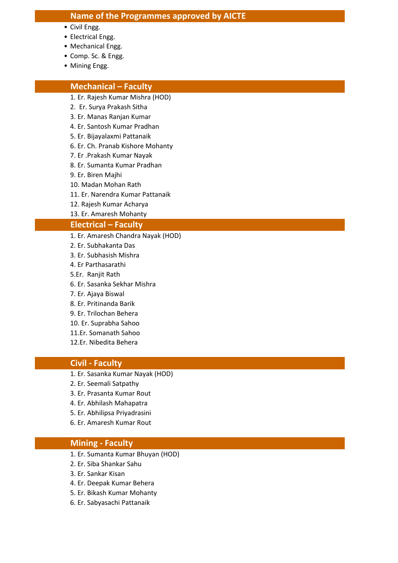### **Name of the Programmes approved by AICTE**

- Civil Engg.
- Electrical Engg.
- Mechanical Engg.
- Comp. Sc. & Engg.
- Mining Engg.

#### **Mechanical – Faculty**

- 1. Er. Rajesh Kumar Mishra (HOD)
- 2. Er. Surya Prakash Sitha
- 3. Er. Manas Ranjan Kumar
- 4. Er. Santosh Kumar Pradhan
- 5. Er. Bijayalaxmi Pattanaik
- 6. Er. Ch. Pranab Kishore Mohanty
- 7. Er .Prakash Kumar Nayak
- 8. Er. Sumanta Kumar Pradhan
- 9. Er. Biren Majhi
- 10. Madan Mohan Rath
- 11. Er. Narendra Kumar Pattanaik
- 12. Rajesh Kumar Acharya
- 13. Er. Amaresh Mohanty

#### **Electrical – Faculty**

- 1. Er. Amaresh Chandra Nayak (HOD)
- 2. Er. Subhakanta Das
- 3. Er. Subhasish Mishra
- 4. Er Parthasarathi
- 5.Er. Ranjit Rath
- 6. Er. Sasanka Sekhar Mishra
- 7. Er. Ajaya Biswal
- 8. Er. Pritinanda Barik
- 9. Er. Trilochan Behera
- 10. Er. Suprabha Sahoo
- 11.Er. Somanath Sahoo
- 12.Er. Nibedita Behera

### **Civil - Faculty**

- 1. Er. Sasanka Kumar Nayak (HOD)
- 2. Er. Seemali Satpathy
- 3. Er. Prasanta Kumar Rout
- 4. Er. Abhilash Mahapatra
- 5. Er. Abhilipsa Priyadrasini
- 6. Er. Amaresh Kumar Rout

## **Mining - Faculty**

- 1. Er. Sumanta Kumar Bhuyan (HOD)
- 2. Er. Siba Shankar Sahu
- 3. Er. Sankar Kisan
- 4. Er. Deepak Kumar Behera
- 5. Er. Bikash Kumar Mohanty
- 6. Er. Sabyasachi Pattanaik